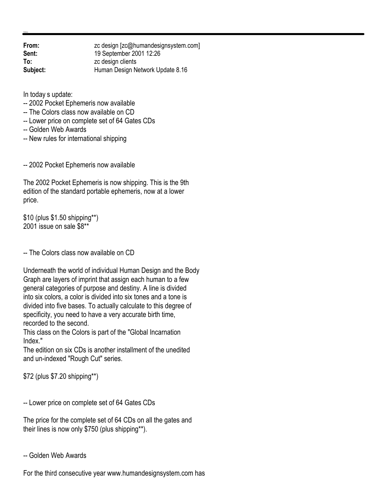| From:    | zc design [zc@humandesignsystem.com] |
|----------|--------------------------------------|
| Sent:    | 19 September 2001 12:26              |
| To:      | zc design clients                    |
| Subject: | Human Design Network Update 8.16     |
|          |                                      |

In today s update:

- -- 2002 Pocket Ephemeris now available
- -- The Colors class now available on CD
- -- Lower price on complete set of 64 Gates CDs
- -- Golden Web Awards
- -- New rules for international shipping

-- 2002 Pocket Ephemeris now available

The 2002 Pocket Ephemeris is now shipping. This is the 9th edition of the standard portable ephemeris, now at a lower price.

\$10 (plus \$1.50 shipping\*\*) 2001 issue on sale \$8\*\*

-- The Colors class now available on CD

Underneath the world of individual Human Design and the Body Graph are layers of imprint that assign each human to a few general categories of purpose and destiny. A line is divided into six colors, a color is divided into six tones and a tone is divided into five bases. To actually calculate to this degree of specificity, you need to have a very accurate birth time, recorded to the second.

This class on the Colors is part of the "Global Incarnation Index."

The edition on six CDs is another installment of the unedited and un-indexed "Rough Cut" series.

\$72 (plus \$7.20 shipping\*\*)

-- Lower price on complete set of 64 Gates CDs

The price for the complete set of 64 CDs on all the gates and their lines is now only \$750 (plus shipping\*\*).

-- Golden Web Awards

For the third consecutive year www.humandesignsystem.com has